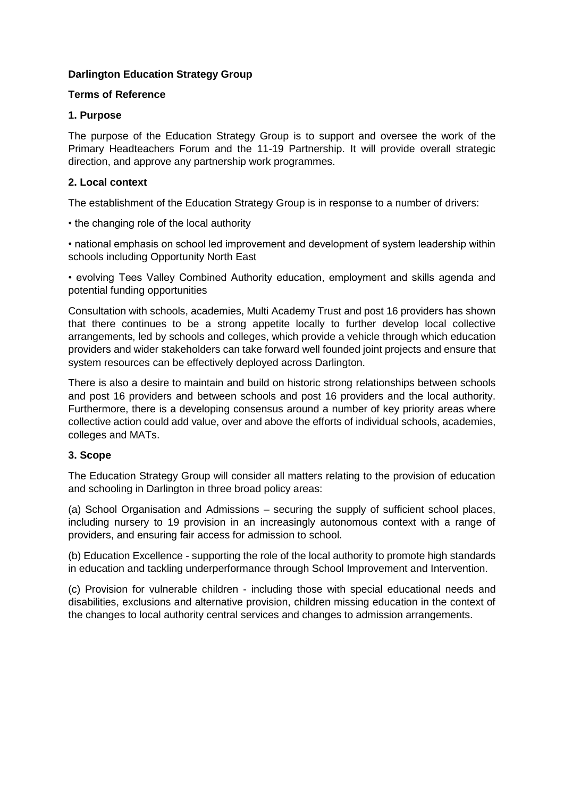# **Darlington Education Strategy Group**

#### **Terms of Reference**

#### **1. Purpose**

The purpose of the Education Strategy Group is to support and oversee the work of the Primary Headteachers Forum and the 11-19 Partnership. It will provide overall strategic direction, and approve any partnership work programmes.

# **2. Local context**

The establishment of the Education Strategy Group is in response to a number of drivers:

• the changing role of the local authority

• national emphasis on school led improvement and development of system leadership within schools including Opportunity North East

• evolving Tees Valley Combined Authority education, employment and skills agenda and potential funding opportunities

Consultation with schools, academies, Multi Academy Trust and post 16 providers has shown that there continues to be a strong appetite locally to further develop local collective arrangements, led by schools and colleges, which provide a vehicle through which education providers and wider stakeholders can take forward well founded joint projects and ensure that system resources can be effectively deployed across Darlington.

There is also a desire to maintain and build on historic strong relationships between schools and post 16 providers and between schools and post 16 providers and the local authority. Furthermore, there is a developing consensus around a number of key priority areas where collective action could add value, over and above the efforts of individual schools, academies, colleges and MATs.

# **3. Scope**

The Education Strategy Group will consider all matters relating to the provision of education and schooling in Darlington in three broad policy areas:

(a) School Organisation and Admissions – securing the supply of sufficient school places, including nursery to 19 provision in an increasingly autonomous context with a range of providers, and ensuring fair access for admission to school.

(b) Education Excellence - supporting the role of the local authority to promote high standards in education and tackling underperformance through School Improvement and Intervention.

(c) Provision for vulnerable children - including those with special educational needs and disabilities, exclusions and alternative provision, children missing education in the context of the changes to local authority central services and changes to admission arrangements.